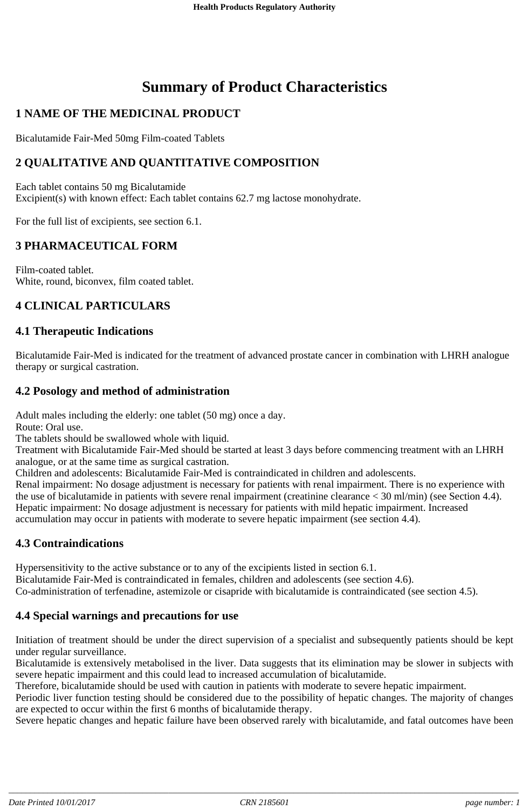# **Summary of Product Characteristics**

# **1 NAME OF THE MEDICINAL PRODUCT**

Bicalutamide Fair-Med 50mg Film-coated Tablets

# **2 QUALITATIVE AND QUANTITATIVE COMPOSITION**

Each tablet contains 50 mg Bicalutamide Excipient(s) with known effect: Each tablet contains 62.7 mg lactose monohydrate.

For the full list of excipients, see section 6.1.

# **3 PHARMACEUTICAL FORM**

Film-coated tablet. White, round, biconvex, film coated tablet.

# **4 CLINICAL PARTICULARS**

#### **4.1 Therapeutic Indications**

Bicalutamide Fair-Med is indicated for the treatment of advanced prostate cancer in combination with LHRH analogue therapy or surgical castration.

# **4.2 Posology and method of administration**

Adult males including the elderly: one tablet (50 mg) once a day.

Route: Oral use.

The tablets should be swallowed whole with liquid.

Treatment with Bicalutamide Fair-Med should be started at least 3 days before commencing treatment with an LHRH analogue, or at the same time as surgical castration.

Children and adolescents: Bicalutamide Fair-Med is contraindicated in children and adolescents.

Renal impairment: No dosage adjustment is necessary for patients with renal impairment. There is no experience with the use of bicalutamide in patients with severe renal impairment (creatinine clearance < 30 ml/min) (see Section 4.4). Hepatic impairment: No dosage adjustment is necessary for patients with mild hepatic impairment. Increased accumulation may occur in patients with moderate to severe hepatic impairment (see section 4.4).

# **4.3 Contraindications**

Hypersensitivity to the active substance or to any of the excipients listed in section 6.1. Bicalutamide Fair-Med is contraindicated in females, children and adolescents (see section 4.6). Co-administration of terfenadine, astemizole or cisapride with bicalutamide is contraindicated (see section 4.5).

# **4.4 Special warnings and precautions for use**

Initiation of treatment should be under the direct supervision of a specialist and subsequently patients should be kept under regular surveillance.

Bicalutamide is extensively metabolised in the liver. Data suggests that its elimination may be slower in subjects with severe hepatic impairment and this could lead to increased accumulation of bicalutamide.

Therefore, bicalutamide should be used with caution in patients with moderate to severe hepatic impairment.

Periodic liver function testing should be considered due to the possibility of hepatic changes. The majority of changes are expected to occur within the first 6 months of bicalutamide therapy.

Severe hepatic changes and hepatic failure have been observed rarely with bicalutamide, and fatal outcomes have been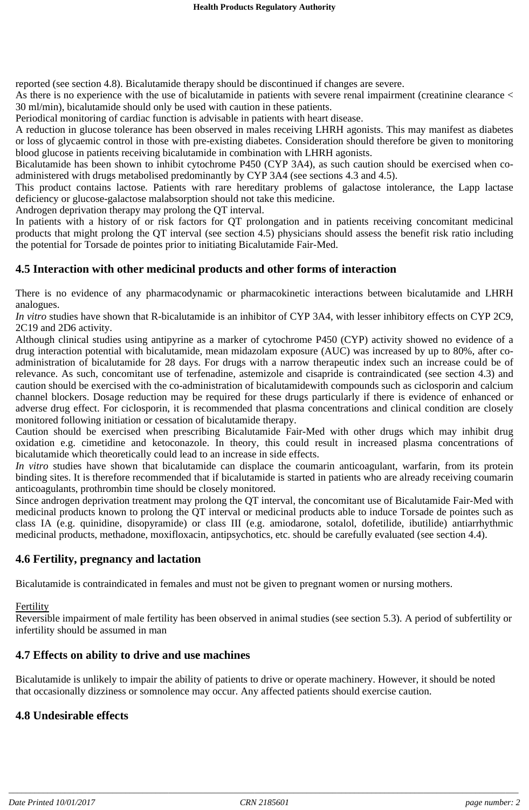reported (see section 4.8). Bicalutamide therapy should be discontinued if changes are severe.

As there is no experience with the use of bicalutamide in patients with severe renal impairment (creatinine clearance < 30 ml/min), bicalutamide should only be used with caution in these patients.

Periodical monitoring of cardiac function is advisable in patients with heart disease.

A reduction in glucose tolerance has been observed in males receiving LHRH agonists. This may manifest as diabetes or loss of glycaemic control in those with pre-existing diabetes. Consideration should therefore be given to monitoring blood glucose in patients receiving bicalutamide in combination with LHRH agonists.

Bicalutamide has been shown to inhibit cytochrome P450 (CYP 3A4), as such caution should be exercised when coadministered with drugs metabolised predominantly by CYP 3A4 (see sections 4.3 and 4.5).

This product contains lactose. Patients with rare hereditary problems of galactose intolerance, the Lapp lactase deficiency or glucose-galactose malabsorption should not take this medicine.

Androgen deprivation therapy may prolong the QT interval.

In patients with a history of or risk factors for QT prolongation and in patients receiving concomitant medicinal products that might prolong the QT interval (see section 4.5) physicians should assess the benefit risk ratio including the potential for Torsade de pointes prior to initiating Bicalutamide Fair-Med.

#### **4.5 Interaction with other medicinal products and other forms of interaction**

There is no evidence of any pharmacodynamic or pharmacokinetic interactions between bicalutamide and LHRH analogues.

*In vitro* studies have shown that R-bicalutamide is an inhibitor of CYP 3A4, with lesser inhibitory effects on CYP 2C9, 2C19 and 2D6 activity.

Although clinical studies using antipyrine as a marker of cytochrome P450 (CYP) activity showed no evidence of a drug interaction potential with bicalutamide, mean midazolam exposure (AUC) was increased by up to 80%, after coadministration of bicalutamide for 28 days. For drugs with a narrow therapeutic index such an increase could be of relevance. As such, concomitant use of terfenadine, astemizole and cisapride is contraindicated (see section 4.3) and caution should be exercised with the co-administration of bicalutamidewith compounds such as ciclosporin and calcium channel blockers. Dosage reduction may be required for these drugs particularly if there is evidence of enhanced or adverse drug effect. For ciclosporin, it is recommended that plasma concentrations and clinical condition are closely monitored following initiation or cessation of bicalutamide therapy.

Caution should be exercised when prescribing Bicalutamide Fair-Med with other drugs which may inhibit drug oxidation e.g. cimetidine and ketoconazole. In theory, this could result in increased plasma concentrations of bicalutamide which theoretically could lead to an increase in side effects.

*In vitro* studies have shown that bicalutamide can displace the coumarin anticoagulant, warfarin, from its protein binding sites. It is therefore recommended that if bicalutamide is started in patients who are already receiving coumarin anticoagulants, prothrombin time should be closely monitored.

Since androgen deprivation treatment may prolong the QT interval, the concomitant use of Bicalutamide Fair-Med with medicinal products known to prolong the QT interval or medicinal products able to induce Torsade de pointes such as class IA (e.g. quinidine, disopyramide) or class III (e.g. amiodarone, sotalol, dofetilide, ibutilide) antiarrhythmic medicinal products, methadone, moxifloxacin, antipsychotics, etc. should be carefully evaluated (see section 4.4).

#### **4.6 Fertility, pregnancy and lactation**

Bicalutamide is contraindicated in females and must not be given to pregnant women or nursing mothers.

#### **Fertility**

Reversible impairment of male fertility has been observed in animal studies (see section 5.3). A period of subfertility or infertility should be assumed in man

#### **4.7 Effects on ability to drive and use machines**

Bicalutamide is unlikely to impair the ability of patients to drive or operate machinery. However, it should be noted that occasionally dizziness or somnolence may occur. Any affected patients should exercise caution.

# **4.8 Undesirable effects**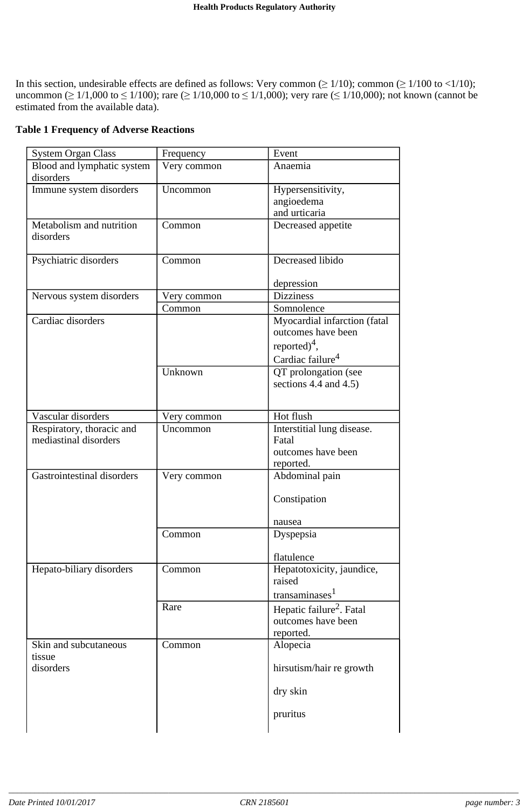In this section, undesirable effects are defined as follows: Very common ( $\geq 1/10$ ); common ( $\geq 1/100$  to <1/10); uncommon ( $\geq 1/1,000$  to  $\leq 1/100$ ); rare ( $\geq 1/10,000$  to  $\leq 1/1,000$ ); very rare ( $\leq 1/10,000$ ); not known (cannot be estimated from the available data).

|  | <b>Table 1 Frequency of Adverse Reactions</b> |  |
|--|-----------------------------------------------|--|
|  |                                               |  |

| <b>System Organ Class</b>             | Frequency   | Event                                |
|---------------------------------------|-------------|--------------------------------------|
| Blood and lymphatic system            | Very common | Anaemia                              |
| disorders                             |             |                                      |
| Immune system disorders               | Uncommon    | Hypersensitivity,                    |
|                                       |             | angioedema                           |
|                                       |             | and urticaria                        |
| Metabolism and nutrition<br>disorders | Common      | Decreased appetite                   |
| Psychiatric disorders                 | Common      | Decreased libido                     |
|                                       |             | depression                           |
| Nervous system disorders              | Very common | <b>Dizziness</b>                     |
|                                       | Common      | Somnolence                           |
| Cardiac disorders                     |             | Myocardial infarction (fatal         |
|                                       |             | outcomes have been                   |
|                                       |             | reported) <sup>4</sup> ,             |
|                                       |             | Cardiac failure <sup>4</sup>         |
|                                       |             |                                      |
|                                       | Unknown     | QT prolongation (see                 |
|                                       |             | sections 4.4 and $4.5$ )             |
|                                       |             |                                      |
| Vascular disorders                    | Very common | Hot flush                            |
| Respiratory, thoracic and             | Uncommon    | Interstitial lung disease.           |
| mediastinal disorders                 |             | Fatal                                |
|                                       |             | outcomes have been                   |
|                                       |             | reported.                            |
| Gastrointestinal disorders            | Very common | Abdominal pain                       |
|                                       |             | Constipation                         |
|                                       |             | nausea                               |
|                                       | Common      | Dyspepsia                            |
|                                       |             |                                      |
|                                       |             | flatulence                           |
| Hepato-biliary disorders              | Common      | Hepatotoxicity, jaundice,            |
|                                       |             | raised                               |
|                                       |             | transaminases <sup>1</sup>           |
|                                       | Rare        | Hepatic failure <sup>2</sup> . Fatal |
|                                       |             | outcomes have been                   |
|                                       |             | reported.                            |
| Skin and subcutaneous                 | Common      | Alopecia                             |
| tissue                                |             |                                      |
| disorders                             |             | hirsutism/hair re growth             |
|                                       |             | dry skin                             |
|                                       |             |                                      |
|                                       |             | pruritus                             |
|                                       |             |                                      |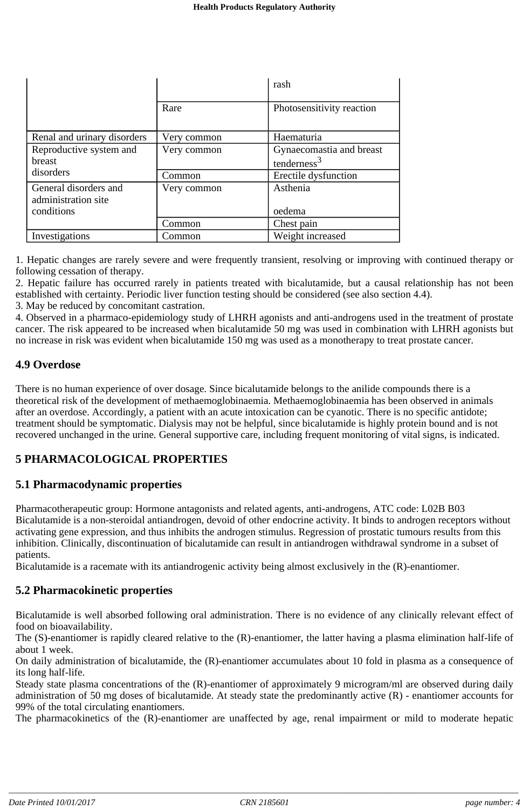|                             |             | rash                      |
|-----------------------------|-------------|---------------------------|
|                             | Rare        | Photosensitivity reaction |
| Renal and urinary disorders | Very common | Haematuria                |
| Reproductive system and     | Very common | Gynaecomastia and breast  |
| breast                      |             | tenderness $3$            |
| disorders                   | Common      | Erectile dysfunction      |
| General disorders and       | Very common | Asthenia                  |
| administration site         |             |                           |
| conditions                  |             | oedema                    |
|                             | Common      | Chest pain                |
| Investigations              | Common      | Weight increased          |

1. Hepatic changes are rarely severe and were frequently transient, resolving or improving with continued therapy or following cessation of therapy.

2. Hepatic failure has occurred rarely in patients treated with bicalutamide, but a causal relationship has not been established with certainty. Periodic liver function testing should be considered (see also section 4.4). 3. May be reduced by concomitant castration.

4. Observed in a pharmaco-epidemiology study of LHRH agonists and anti-androgens used in the treatment of prostate cancer. The risk appeared to be increased when bicalutamide 50 mg was used in combination with LHRH agonists but no increase in risk was evident when bicalutamide 150 mg was used as a monotherapy to treat prostate cancer.

# **4.9 Overdose**

There is no human experience of over dosage. Since bicalutamide belongs to the anilide compounds there is a theoretical risk of the development of methaemoglobinaemia. Methaemoglobinaemia has been observed in animals after an overdose. Accordingly, a patient with an acute intoxication can be cyanotic. There is no specific antidote; treatment should be symptomatic. Dialysis may not be helpful, since bicalutamide is highly protein bound and is not recovered unchanged in the urine. General supportive care, including frequent monitoring of vital signs, is indicated.

# **5 PHARMACOLOGICAL PROPERTIES**

# **5.1 Pharmacodynamic properties**

Pharmacotherapeutic group: Hormone antagonists and related agents, anti-androgens, ATC code: L02B B03 Bicalutamide is a non-steroidal antiandrogen, devoid of other endocrine activity. It binds to androgen receptors without activating gene expression, and thus inhibits the androgen stimulus. Regression of prostatic tumours results from this inhibition. Clinically, discontinuation of bicalutamide can result in antiandrogen withdrawal syndrome in a subset of patients.

Bicalutamide is a racemate with its antiandrogenic activity being almost exclusively in the (R)-enantiomer.

# **5.2 Pharmacokinetic properties**

Bicalutamide is well absorbed following oral administration. There is no evidence of any clinically relevant effect of food on bioavailability.

The (S)-enantiomer is rapidly cleared relative to the (R)-enantiomer, the latter having a plasma elimination half-life of about 1 week.

On daily administration of bicalutamide, the (R)-enantiomer accumulates about 10 fold in plasma as a consequence of its long half-life.

Steady state plasma concentrations of the (R)-enantiomer of approximately 9 microgram/ml are observed during daily administration of 50 mg doses of bicalutamide. At steady state the predominantly active (R) - enantiomer accounts for 99% of the total circulating enantiomers.

The pharmacokinetics of the (R)-enantiomer are unaffected by age, renal impairment or mild to moderate hepatic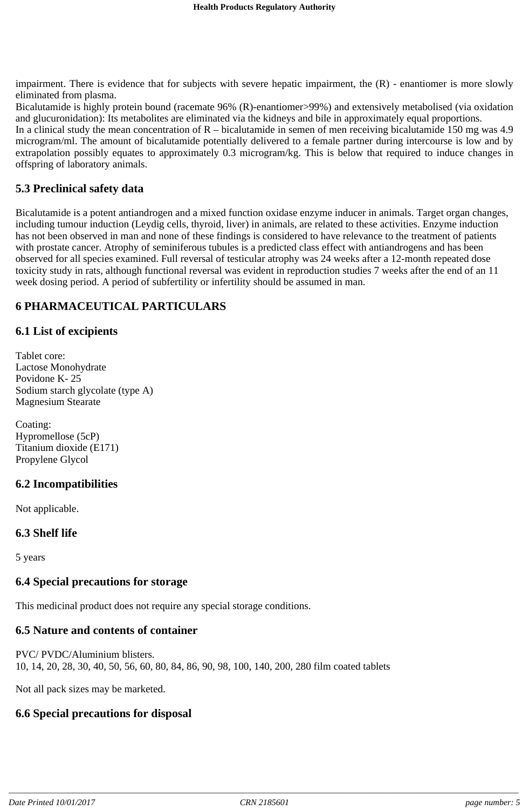impairment. There is evidence that for subjects with severe hepatic impairment, the (R) - enantiomer is more slowly eliminated from plasma.

Bicalutamide is highly protein bound (racemate 96% (R)-enantiomer>99%) and extensively metabolised (via oxidation and glucuronidation): Its metabolites are eliminated via the kidneys and bile in approximately equal proportions.

In a clinical study the mean concentration of R – bicalutamide in semen of men receiving bicalutamide 150 mg was 4.9 microgram/ml. The amount of bicalutamide potentially delivered to a female partner during intercourse is low and by extrapolation possibly equates to approximately 0.3 microgram/kg. This is below that required to induce changes in offspring of laboratory animals.

#### **5.3 Preclinical safety data**

Bicalutamide is a potent antiandrogen and a mixed function oxidase enzyme inducer in animals. Target organ changes, including tumour induction (Leydig cells, thyroid, liver) in animals, are related to these activities. Enzyme induction has not been observed in man and none of these findings is considered to have relevance to the treatment of patients with prostate cancer. Atrophy of seminiferous tubules is a predicted class effect with antiandrogens and has been observed for all species examined. Full reversal of testicular atrophy was 24 weeks after a 12-month repeated dose toxicity study in rats, although functional reversal was evident in reproduction studies 7 weeks after the end of an 11 week dosing period. A period of subfertility or infertility should be assumed in man.

# **6 PHARMACEUTICAL PARTICULARS**

#### **6.1 List of excipients**

Tablet core: Lactose Monohydrate Povidone K- 25 Sodium starch glycolate (type A) Magnesium Stearate

Coating: Hypromellose (5cP) Titanium dioxide (E171) Propylene Glycol

# **6.2 Incompatibilities**

Not applicable.

#### **6.3 Shelf life**

5 years

#### **6.4 Special precautions for storage**

This medicinal product does not require any special storage conditions.

#### **6.5 Nature and contents of container**

PVC/ PVDC/Aluminium blisters. 10, 14, 20, 28, 30, 40, 50, 56, 60, 80, 84, 86, 90, 98, 100, 140, 200, 280 film coated tablets

Not all pack sizes may be marketed.

#### **6.6 Special precautions for disposal**